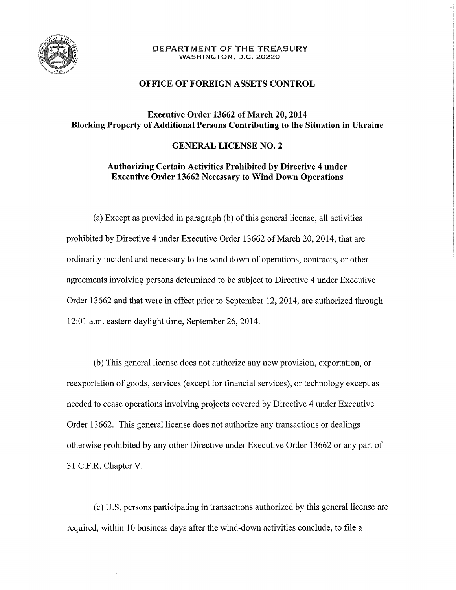

#### DEPARTMENT OF THE TREASURY **WASHINGTON, D.C. 20220**

### **OFFICE OF FOREIGN ASSETS CONTROL**

# **Executive Order 13662 of March 20,2014 Blocking Property of Additional Persons Contributing to the Situation in Ukraine**

### **GENERAL LICENSE NO. 2**

## **Authorizing Certain Activities Prohibited by Directive 4 under Executive Order 13662 Necessary to Wind Down Operations**

(a) Except as provided in paragraph (b) of this general license, all activities prohibited by Directive 4 under Executive Order 13662 of March 20, 2014, that are ordinarily incident and necessary to the wind down of operations, contracts, or other agreements involving persons determined to be subject to Directive 4 under Executive Order 13662 and that were in effect prior to September 12, 2014, are authorized through 12:01 a.m. eastern daylight time, September 26, 2014.

(b) This general license does not authorize any new provision, exportation, or reexportation of goods, services (except for fmancial services), or technology except as needed to cease operations involving projects covered by Directive 4 under Executive Order 13662. This general license does not authorize any transactions or dealings otherwise prohibited by any other Directive under Executive Order 13662 or any part of 31 C.F.R. Chapter V.

(c) U.S. persons participating in transactions authorized by this general license are required, within 10 business days after the wind-down activities conclude, to file a